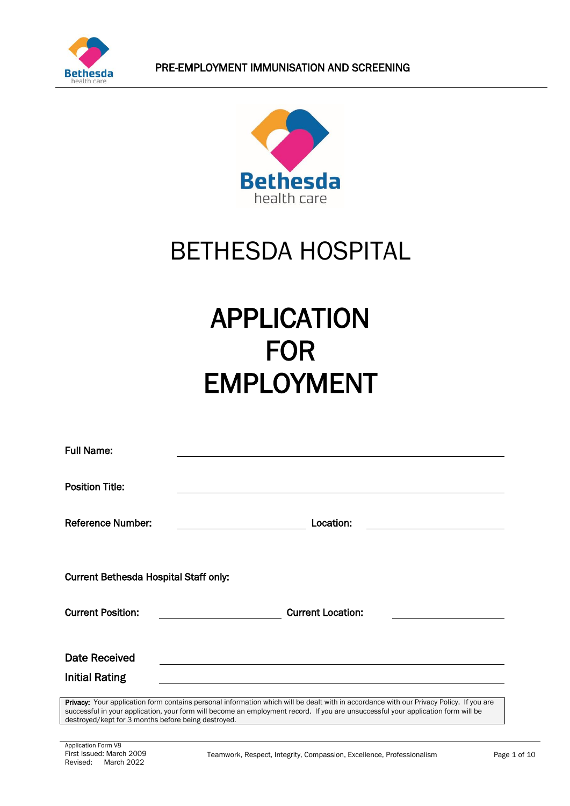



## BETHESDA HOSPITAL

# APPLICATION FOR EMPLOYMENT

| <b>Full Name:</b>                            |                                                                                                                                                                                                                                                                              |
|----------------------------------------------|------------------------------------------------------------------------------------------------------------------------------------------------------------------------------------------------------------------------------------------------------------------------------|
| <b>Position Title:</b>                       |                                                                                                                                                                                                                                                                              |
| <b>Reference Number:</b>                     | Location:                                                                                                                                                                                                                                                                    |
| <b>Current Bethesda Hospital Staff only:</b> |                                                                                                                                                                                                                                                                              |
| <b>Current Position:</b>                     | <b>Current Location:</b>                                                                                                                                                                                                                                                     |
| <b>Date Received</b>                         |                                                                                                                                                                                                                                                                              |
| <b>Initial Rating</b>                        |                                                                                                                                                                                                                                                                              |
|                                              | Privacy: Your application form contains personal information which will be dealt with in accordance with our Privacy Policy. If you are<br>successful in your application, your form will become an employment record. If you are unsuccessful your application form will be |

destroyed/kept for 3 months before being destroyed.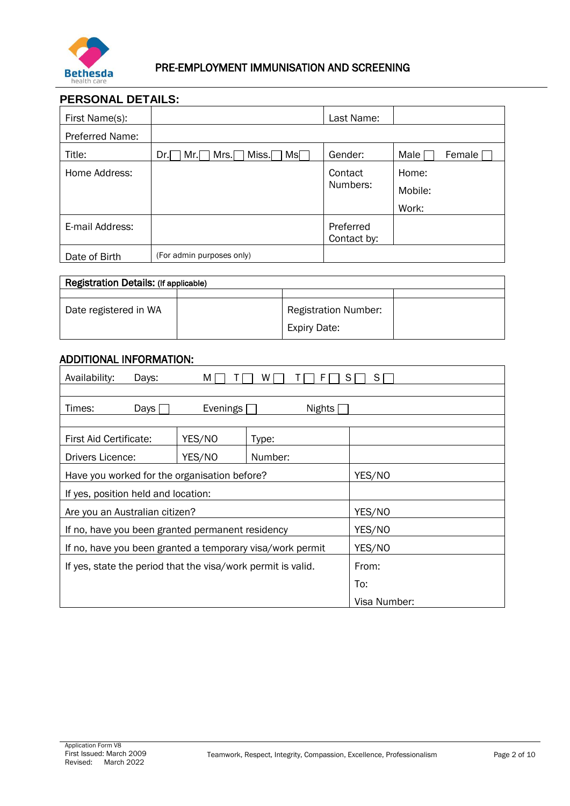

## **PERSONAL DETAILS:**

| First Name(s):  |                                                    | Last Name:               |                |
|-----------------|----------------------------------------------------|--------------------------|----------------|
| Preferred Name: |                                                    |                          |                |
| Title:          | Miss.<br>Mrs.<br>$\mathsf{Ms} \Box$<br>Mr.I<br>Dr. | Gender:                  | Female<br>Male |
| Home Address:   |                                                    | Contact                  | Home:          |
|                 |                                                    | Numbers:                 | Mobile:        |
|                 |                                                    |                          | Work:          |
| E-mail Address: |                                                    | Preferred<br>Contact by: |                |
| Date of Birth   | (For admin purposes only)                          |                          |                |

| Registration Details: (If applicable) |  |                                                    |  |
|---------------------------------------|--|----------------------------------------------------|--|
|                                       |  |                                                    |  |
| Date registered in WA                 |  | <b>Registration Number:</b><br><b>Expiry Date:</b> |  |

## ADDITIONAL INFORMATION:

| Availability:                                                | Days: | м        | F<br>w  | S            |
|--------------------------------------------------------------|-------|----------|---------|--------------|
| Times:                                                       | Days  | Evenings | Nights  |              |
| First Aid Certificate:                                       |       | YES/NO   | Type:   |              |
| Drivers Licence:                                             |       | YES/NO   | Number: |              |
| Have you worked for the organisation before?                 |       |          | YES/NO  |              |
| If yes, position held and location:                          |       |          |         |              |
| Are you an Australian citizen?                               |       |          | YES/NO  |              |
| If no, have you been granted permanent residency             |       |          | YES/NO  |              |
| If no, have you been granted a temporary visa/work permit    |       | YES/NO   |         |              |
| If yes, state the period that the visa/work permit is valid. |       | From:    |         |              |
|                                                              |       |          |         | To:          |
|                                                              |       |          |         | Visa Number: |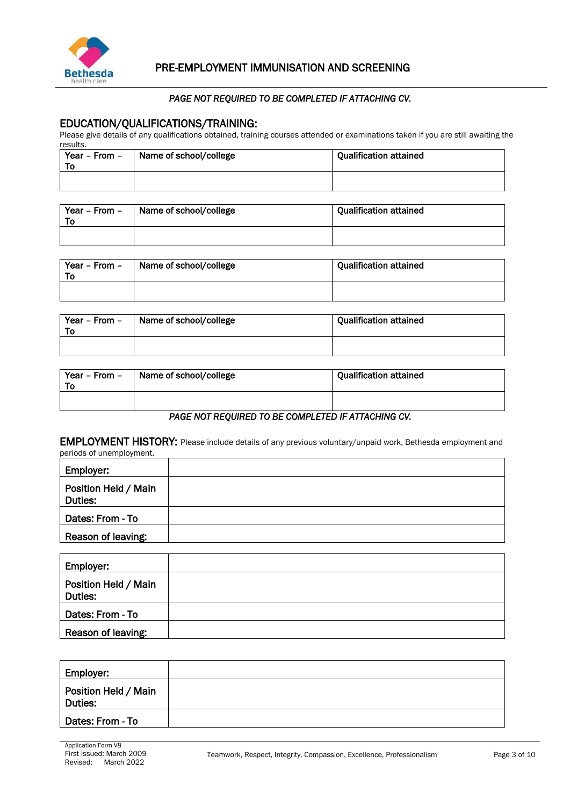

#### *PAGE NOT REQUIRED TO BE COMPLETED IF ATTACHING CV.*

## EDUCATION/QUALIFICATIONS/TRAINING:

Please give details of any qualifications obtained, training courses attended or examinations taken if you are still awaiting the results.

| Year - From -<br>To: | Name of school/college | <b>Qualification attained</b> |
|----------------------|------------------------|-------------------------------|
|                      |                        |                               |

| Year - From -<br>То | Name of school/college | <b>Qualification attained</b> |
|---------------------|------------------------|-------------------------------|
|                     |                        |                               |

| Year - From -<br>To | Name of school/college | <b>Qualification attained</b> |
|---------------------|------------------------|-------------------------------|
|                     |                        |                               |

| Year - From -<br>To | Name of school/college | <b>Qualification attained</b> |
|---------------------|------------------------|-------------------------------|
|                     |                        |                               |

| Year - From -<br>То | Name of school/college | <b>Qualification attained</b> |
|---------------------|------------------------|-------------------------------|
|                     |                        |                               |

#### *PAGE NOT REQUIRED TO BE COMPLETED IF ATTACHING CV.*

EMPLOYMENT HISTORY: Please include details of any previous voluntary/unpaid work, Bethesda employment and periods of unemployment.

| Employer:                       |  |
|---------------------------------|--|
| Position Held / Main<br>Duties: |  |
| Dates: From - To                |  |
| Reason of leaving:              |  |

| Employer:                       |  |
|---------------------------------|--|
| Position Held / Main<br>Duties: |  |
| Dates: From - To                |  |
| Reason of leaving:              |  |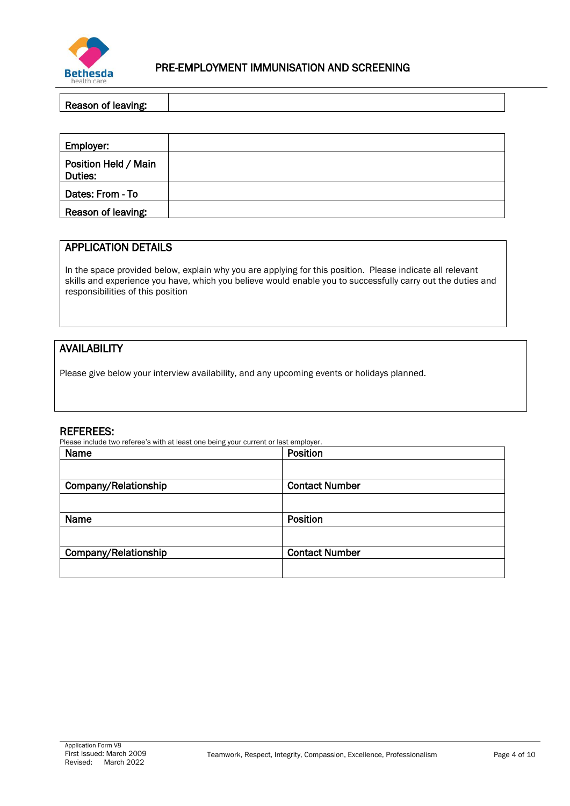

## Reason of leaving:

| Employer:                       |  |
|---------------------------------|--|
| Position Held / Main<br>Duties: |  |
| Dates: From - To                |  |
| Reason of leaving:              |  |

## APPLICATION DETAILS

In the space provided below, explain why you are applying for this position. Please indicate all relevant skills and experience you have, which you believe would enable you to successfully carry out the duties and responsibilities of this position

## AVAILABILITY

Please give below your interview availability, and any upcoming events or holidays planned.

#### REFEREES:

Please include two referee's with at least one being your current or last employer.

| Name                 | Position              |  |
|----------------------|-----------------------|--|
|                      |                       |  |
| Company/Relationship | <b>Contact Number</b> |  |
|                      |                       |  |
| Name                 | Position              |  |
|                      |                       |  |
| Company/Relationship | <b>Contact Number</b> |  |
|                      |                       |  |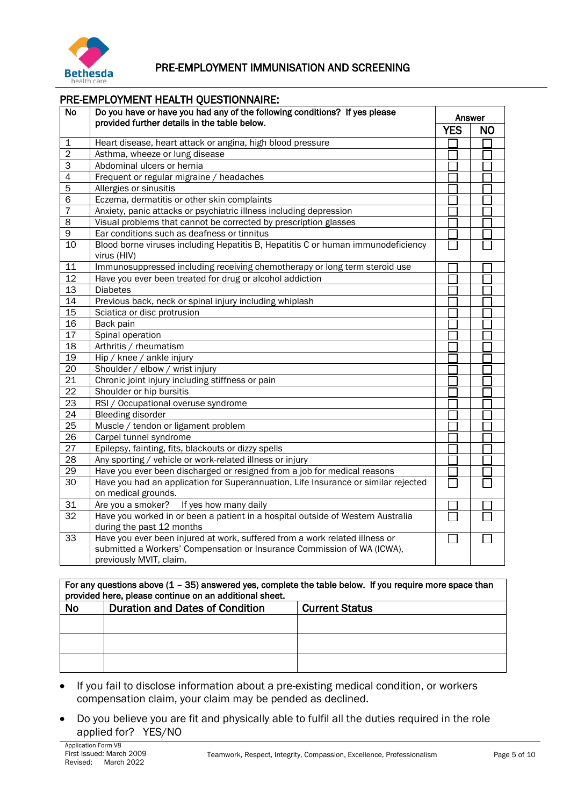

| Do you have or have you had any of the following conditions? If yes please<br><b>No</b><br>Answer<br>provided further details in the table below.<br><b>YES</b><br><b>NO</b><br>Heart disease, heart attack or angina, high blood pressure<br>1<br>$\overline{2}$<br>Asthma, wheeze or lung disease<br>Abdominal ulcers or hernia<br>3<br>$\overline{4}$<br>Frequent or regular migraine / headaches<br>$\overline{5}$<br>Allergies or sinusitis<br>6<br>Eczema, dermatitis or other skin complaints<br>$\overline{7}$<br>Anxiety, panic attacks or psychiatric illness including depression |
|----------------------------------------------------------------------------------------------------------------------------------------------------------------------------------------------------------------------------------------------------------------------------------------------------------------------------------------------------------------------------------------------------------------------------------------------------------------------------------------------------------------------------------------------------------------------------------------------|
|                                                                                                                                                                                                                                                                                                                                                                                                                                                                                                                                                                                              |
|                                                                                                                                                                                                                                                                                                                                                                                                                                                                                                                                                                                              |
|                                                                                                                                                                                                                                                                                                                                                                                                                                                                                                                                                                                              |
|                                                                                                                                                                                                                                                                                                                                                                                                                                                                                                                                                                                              |
|                                                                                                                                                                                                                                                                                                                                                                                                                                                                                                                                                                                              |
|                                                                                                                                                                                                                                                                                                                                                                                                                                                                                                                                                                                              |
|                                                                                                                                                                                                                                                                                                                                                                                                                                                                                                                                                                                              |
|                                                                                                                                                                                                                                                                                                                                                                                                                                                                                                                                                                                              |
|                                                                                                                                                                                                                                                                                                                                                                                                                                                                                                                                                                                              |
|                                                                                                                                                                                                                                                                                                                                                                                                                                                                                                                                                                                              |
| 8<br>Visual problems that cannot be corrected by prescription glasses                                                                                                                                                                                                                                                                                                                                                                                                                                                                                                                        |
| 9<br>Ear conditions such as deafness or tinnitus                                                                                                                                                                                                                                                                                                                                                                                                                                                                                                                                             |
| Blood borne viruses including Hepatitis B, Hepatitis C or human immunodeficiency<br>10<br>virus (HIV)                                                                                                                                                                                                                                                                                                                                                                                                                                                                                        |
| Immunosuppressed including receiving chemotherapy or long term steroid use<br>11                                                                                                                                                                                                                                                                                                                                                                                                                                                                                                             |
| 12<br>Have you ever been treated for drug or alcohol addiction                                                                                                                                                                                                                                                                                                                                                                                                                                                                                                                               |
| $\overline{13}$<br><b>Diabetes</b>                                                                                                                                                                                                                                                                                                                                                                                                                                                                                                                                                           |
| 14<br>Previous back, neck or spinal injury including whiplash                                                                                                                                                                                                                                                                                                                                                                                                                                                                                                                                |
| 15<br>Sciatica or disc protrusion                                                                                                                                                                                                                                                                                                                                                                                                                                                                                                                                                            |
| Back pain<br>16                                                                                                                                                                                                                                                                                                                                                                                                                                                                                                                                                                              |
| 17<br>Spinal operation                                                                                                                                                                                                                                                                                                                                                                                                                                                                                                                                                                       |
| 18<br>Arthritis / rheumatism                                                                                                                                                                                                                                                                                                                                                                                                                                                                                                                                                                 |
| 19<br>Hip / knee / ankle injury                                                                                                                                                                                                                                                                                                                                                                                                                                                                                                                                                              |
| $\overline{20}$<br>Shoulder / elbow / wrist injury                                                                                                                                                                                                                                                                                                                                                                                                                                                                                                                                           |
| 21<br>Chronic joint injury including stiffness or pain                                                                                                                                                                                                                                                                                                                                                                                                                                                                                                                                       |
| $\overline{22}$<br>Shoulder or hip bursitis                                                                                                                                                                                                                                                                                                                                                                                                                                                                                                                                                  |
| $\overline{23}$<br>RSI / Occupational overuse syndrome                                                                                                                                                                                                                                                                                                                                                                                                                                                                                                                                       |
| $\overline{24}$<br><b>Bleeding disorder</b>                                                                                                                                                                                                                                                                                                                                                                                                                                                                                                                                                  |
| $\overline{25}$<br>Muscle / tendon or ligament problem                                                                                                                                                                                                                                                                                                                                                                                                                                                                                                                                       |
| 26<br>Carpel tunnel syndrome                                                                                                                                                                                                                                                                                                                                                                                                                                                                                                                                                                 |
| $\overline{27}$<br>Epilepsy, fainting, fits, blackouts or dizzy spells                                                                                                                                                                                                                                                                                                                                                                                                                                                                                                                       |
| $\overline{28}$<br>Any sporting / vehicle or work-related illness or injury                                                                                                                                                                                                                                                                                                                                                                                                                                                                                                                  |
| $\overline{29}$<br>Have you ever been discharged or resigned from a job for medical reasons                                                                                                                                                                                                                                                                                                                                                                                                                                                                                                  |
| 30<br>Have you had an application for Superannuation, Life Insurance or similar rejected                                                                                                                                                                                                                                                                                                                                                                                                                                                                                                     |
| on medical grounds.                                                                                                                                                                                                                                                                                                                                                                                                                                                                                                                                                                          |
| If yes how many daily<br>31<br>Are you a smoker?                                                                                                                                                                                                                                                                                                                                                                                                                                                                                                                                             |
| $\overline{32}$<br>Have you worked in or been a patient in a hospital outside of Western Australia                                                                                                                                                                                                                                                                                                                                                                                                                                                                                           |
| during the past 12 months                                                                                                                                                                                                                                                                                                                                                                                                                                                                                                                                                                    |
| 33<br>Have you ever been injured at work, suffered from a work related illness or                                                                                                                                                                                                                                                                                                                                                                                                                                                                                                            |
| submitted a Workers' Compensation or Insurance Commission of WA (ICWA),                                                                                                                                                                                                                                                                                                                                                                                                                                                                                                                      |
| previously MVIT, claim.                                                                                                                                                                                                                                                                                                                                                                                                                                                                                                                                                                      |

## For any questions above  $(1 - 35)$  answered yes, complete the table below. If you require more space than provided here, please continue on an additional sheet. No Duration and Dates of Condition Current Status

- If you fail to disclose information about a pre-existing medical condition, or workers compensation claim, your claim may be pended as declined.
- Do you believe you are fit and physically able to fulfil all the duties required in the role applied for? YES/NO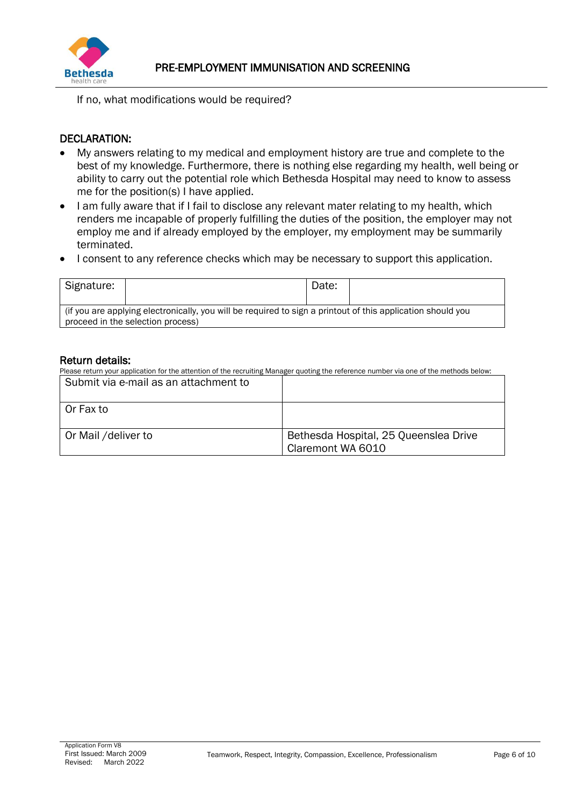

If no, what modifications would be required?

## DECLARATION:

- My answers relating to my medical and employment history are true and complete to the best of my knowledge. Furthermore, there is nothing else regarding my health, well being or ability to carry out the potential role which Bethesda Hospital may need to know to assess me for the position(s) I have applied.
- I am fully aware that if I fail to disclose any relevant mater relating to my health, which renders me incapable of properly fulfilling the duties of the position, the employer may not employ me and if already employed by the employer, my employment may be summarily terminated.
- I consent to any reference checks which may be necessary to support this application.

| Signature:                                                                                                  |  | Date: |  |  |  |  |
|-------------------------------------------------------------------------------------------------------------|--|-------|--|--|--|--|
| (if you are applying electronically, you will be required to sign a printout of this application should you |  |       |  |  |  |  |
| proceed in the selection process)                                                                           |  |       |  |  |  |  |

## Return details:

Please return your application for the attention of the recruiting Manager quoting the reference number via one of the methods below:  $S_{\text{st}}$ 

| Submit via e-mail as an attachment to |                                                            |
|---------------------------------------|------------------------------------------------------------|
| l Or Fax to                           |                                                            |
| Or Mail /deliver to                   | Bethesda Hospital, 25 Queenslea Drive<br>Claremont WA 6010 |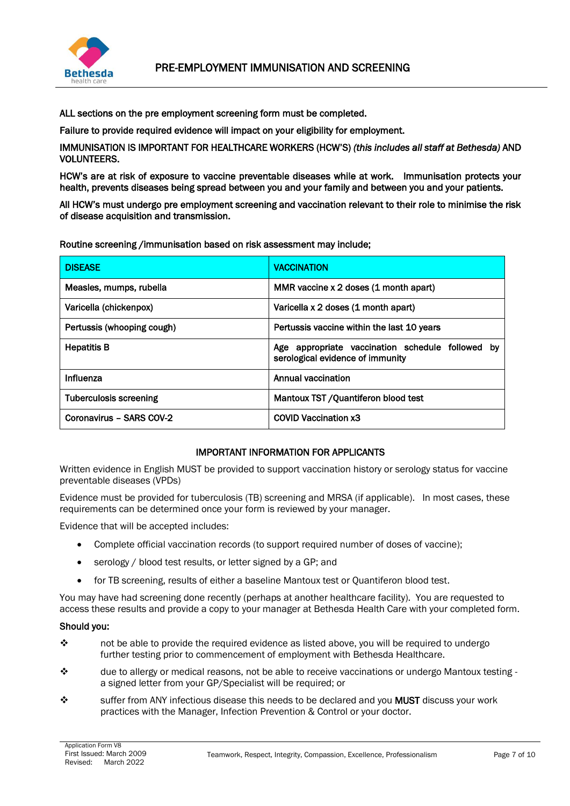

ALL sections on the pre employment screening form must be completed.

Failure to provide required evidence will impact on your eligibility for employment.

IMMUNISATION IS IMPORTANT FOR HEALTHCARE WORKERS (HCW'S) *(this includes all staff at Bethesda)* AND VOLUNTEERS.

HCW's are at risk of exposure to vaccine preventable diseases while at work. Immunisation protects your health, prevents diseases being spread between you and your family and between you and your patients.

All HCW's must undergo pre employment screening and vaccination relevant to their role to minimise the risk of disease acquisition and transmission.

Routine screening /immunisation based on risk assessment may include;

| <b>DISEASE</b>                | <b>VACCINATION</b>                                                                   |
|-------------------------------|--------------------------------------------------------------------------------------|
| Measles, mumps, rubella       | MMR vaccine x 2 doses (1 month apart)                                                |
| Varicella (chickenpox)        | Varicella x 2 doses (1 month apart)                                                  |
| Pertussis (whooping cough)    | Pertussis vaccine within the last 10 years                                           |
| <b>Hepatitis B</b>            | Age appropriate vaccination schedule followed by<br>serological evidence of immunity |
| Influenza                     | Annual vaccination                                                                   |
| <b>Tuberculosis screening</b> | Mantoux TST / Quantiferon blood test                                                 |
| Coronavirus - SARS COV-2      | <b>COVID Vaccination x3</b>                                                          |

#### IMPORTANT INFORMATION FOR APPLICANTS

Written evidence in English MUST be provided to support vaccination history or serology status for vaccine preventable diseases (VPDs)

Evidence must be provided for tuberculosis (TB) screening and MRSA (if applicable). In most cases, these requirements can be determined once your form is reviewed by your manager.

Evidence that will be accepted includes:

- Complete official vaccination records (to support required number of doses of vaccine);
- serology / blood test results, or letter signed by a GP; and
- for TB screening, results of either a baseline Mantoux test or Quantiferon blood test.

You may have had screening done recently (perhaps at another healthcare facility). You are requested to access these results and provide a copy to your manager at Bethesda Health Care with your completed form.

#### Should you:

- ❖ not be able to provide the required evidence as listed above, you will be required to undergo further testing prior to commencement of employment with Bethesda Healthcare.
- $\diamond$  due to allergy or medical reasons, not be able to receive vaccinations or undergo Mantoux testing a signed letter from your GP/Specialist will be required; or
- ❖ suffer from ANY infectious disease this needs to be declared and you MUST discuss your work practices with the Manager, Infection Prevention & Control or your doctor.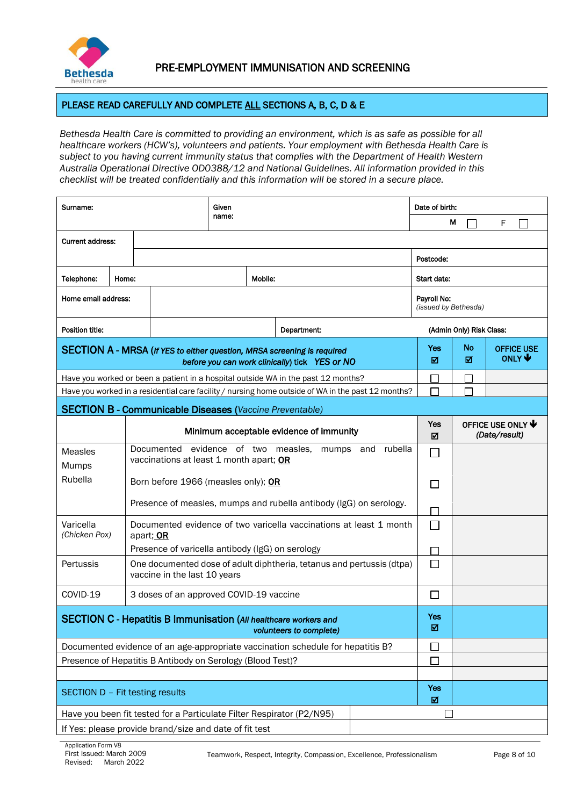

### PLEASE READ CAREFULLY AND COMPLETE ALL SECTIONS A, B, C, D & E

*Bethesda Health Care is committed to providing an environment, which is as safe as possible for all healthcare workers (HCW's), volunteers and patients. Your employment with Bethesda Health Care is subject to you having current immunity status that complies with the Department of Health Western Australia Operational Directive OD0388/12 and National Guidelines. All information provided in this checklist will be treated confidentially and this information will be stored in a secure place.*

| Surname:                                                                                                                  |                                         |                                                                                                       | Given<br>name:                                                 |             |                             | Date of birth:                                                                                     |          |                                           |                                                  |  |
|---------------------------------------------------------------------------------------------------------------------------|-----------------------------------------|-------------------------------------------------------------------------------------------------------|----------------------------------------------------------------|-------------|-----------------------------|----------------------------------------------------------------------------------------------------|----------|-------------------------------------------|--------------------------------------------------|--|
|                                                                                                                           |                                         |                                                                                                       |                                                                |             |                             |                                                                                                    | М        | F                                         |                                                  |  |
| <b>Current address:</b>                                                                                                   |                                         |                                                                                                       |                                                                |             |                             |                                                                                                    |          |                                           |                                                  |  |
|                                                                                                                           |                                         |                                                                                                       |                                                                |             |                             | Postcode:                                                                                          |          |                                           |                                                  |  |
| Telephone:                                                                                                                | Home:                                   |                                                                                                       |                                                                |             | Mobile:                     |                                                                                                    |          | Start date:                               |                                                  |  |
| Home email address:                                                                                                       |                                         |                                                                                                       |                                                                | Payroll No: | (issued by Bethesda)        |                                                                                                    |          |                                           |                                                  |  |
| Position title:                                                                                                           |                                         |                                                                                                       |                                                                |             |                             | Department:                                                                                        |          | (Admin Only) Risk Class:                  |                                                  |  |
| SECTION A - MRSA (If YES to either question, MRSA screening is required<br>before you can work clinically) tick YES or NO |                                         |                                                                                                       |                                                                |             |                             | Yes<br>⊠                                                                                           | No<br>⊠  | <b>OFFICE USE</b><br>ONLY $\blacklozenge$ |                                                  |  |
|                                                                                                                           |                                         |                                                                                                       |                                                                |             |                             | Have you worked or been a patient in a hospital outside WA in the past 12 months?                  |          |                                           |                                                  |  |
|                                                                                                                           |                                         |                                                                                                       |                                                                |             |                             | Have you worked in a residential care facility / nursing home outside of WA in the past 12 months? |          |                                           |                                                  |  |
|                                                                                                                           |                                         |                                                                                                       | <b>SECTION B - Communicable Diseases (Vaccine Preventable)</b> |             |                             |                                                                                                    |          |                                           |                                                  |  |
|                                                                                                                           | Minimum acceptable evidence of immunity |                                                                                                       |                                                                |             |                             |                                                                                                    | Yes<br>☑ |                                           | OFFICE USE ONLY $\blacklozenge$<br>(Date/result) |  |
| <b>Measles</b><br>Mumps                                                                                                   |                                         | Documented evidence of two measles, mumps and<br>rubella<br>vaccinations at least 1 month apart; OR   |                                                                |             |                             |                                                                                                    |          |                                           |                                                  |  |
| Rubella                                                                                                                   |                                         | Born before 1966 (measles only); OR                                                                   |                                                                |             |                             | $\mathcal{L}$                                                                                      |          |                                           |                                                  |  |
|                                                                                                                           |                                         | Presence of measles, mumps and rubella antibody (IgG) on serology.                                    |                                                                |             |                             |                                                                                                    |          |                                           |                                                  |  |
| Varicella<br>(Chicken Pox)                                                                                                |                                         | Documented evidence of two varicella vaccinations at least 1 month<br>apart; OR                       |                                                                |             |                             |                                                                                                    |          |                                           |                                                  |  |
|                                                                                                                           |                                         | Presence of varicella antibody (IgG) on serology                                                      |                                                                |             |                             |                                                                                                    |          |                                           |                                                  |  |
| Pertussis                                                                                                                 |                                         | One documented dose of adult diphtheria, tetanus and pertussis (dtpa)<br>vaccine in the last 10 years |                                                                |             | $\blacksquare$              |                                                                                                    |          |                                           |                                                  |  |
| COVID-19                                                                                                                  |                                         | 3 doses of an approved COVID-19 vaccine                                                               |                                                                |             |                             | $\blacksquare$                                                                                     |          |                                           |                                                  |  |
| <b>SECTION C - Hepatitis B Immunisation (All healthcare workers and</b><br>volunteers to complete)                        |                                         |                                                                                                       |                                                                |             | Yes<br>$\boxtimes$          |                                                                                                    |          |                                           |                                                  |  |
| Documented evidence of an age-appropriate vaccination schedule for hepatitis B?                                           |                                         |                                                                                                       |                                                                |             |                             |                                                                                                    |          |                                           |                                                  |  |
| Presence of Hepatitis B Antibody on Serology (Blood Test)?                                                                |                                         |                                                                                                       |                                                                |             | $\mathcal{L}_{\mathcal{A}}$ |                                                                                                    |          |                                           |                                                  |  |
|                                                                                                                           |                                         |                                                                                                       |                                                                |             |                             |                                                                                                    |          |                                           |                                                  |  |
|                                                                                                                           | SECTION D - Fit testing results         |                                                                                                       |                                                                |             |                             | Yes<br>$\boxtimes$                                                                                 |          |                                           |                                                  |  |
| Have you been fit tested for a Particulate Filter Respirator (P2/N95)                                                     |                                         |                                                                                                       |                                                                |             |                             |                                                                                                    |          |                                           |                                                  |  |
| If Yes: please provide brand/size and date of fit test                                                                    |                                         |                                                                                                       |                                                                |             |                             |                                                                                                    |          |                                           |                                                  |  |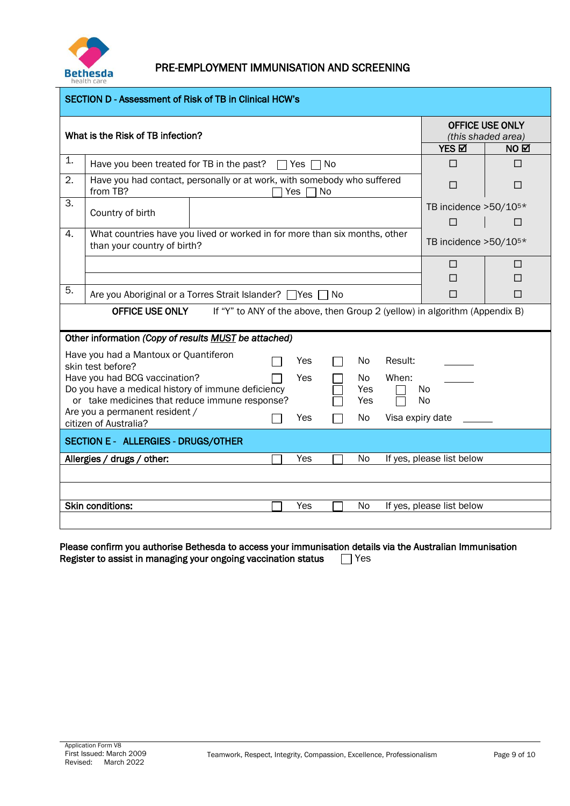

| <b>SECTION D - Assessment of Risk of TB in Clinical HCW's</b>                                         |                                                                                                                    |                           |                                              |  |  |  |  |
|-------------------------------------------------------------------------------------------------------|--------------------------------------------------------------------------------------------------------------------|---------------------------|----------------------------------------------|--|--|--|--|
|                                                                                                       | What is the Risk of TB infection?                                                                                  |                           | <b>OFFICE USE ONLY</b><br>(this shaded area) |  |  |  |  |
|                                                                                                       |                                                                                                                    | YES <b>M</b>              | NO ⊠                                         |  |  |  |  |
| 1.                                                                                                    | Have you been treated for TB in the past?<br>$\Box$ Yes $\Box$ No                                                  | П                         | П                                            |  |  |  |  |
| 2.                                                                                                    | Have you had contact, personally or at work, with somebody who suffered<br>from TB?<br>Yes<br>No                   | П                         | П                                            |  |  |  |  |
| 3.                                                                                                    | Country of birth                                                                                                   | TB incidence >50/105*     |                                              |  |  |  |  |
|                                                                                                       |                                                                                                                    | П                         | □                                            |  |  |  |  |
| 4.                                                                                                    | What countries have you lived or worked in for more than six months, other<br>than your country of birth?          | TB incidence >50/105*     |                                              |  |  |  |  |
|                                                                                                       |                                                                                                                    | П                         | ш                                            |  |  |  |  |
|                                                                                                       |                                                                                                                    | П                         | □                                            |  |  |  |  |
|                                                                                                       | 5.<br>Are you Aboriginal or a Torres Strait Islander?   Yes<br>l No<br>П<br>□                                      |                           |                                              |  |  |  |  |
| If "Y" to ANY of the above, then Group 2 (yellow) in algorithm (Appendix B)<br><b>OFFICE USE ONLY</b> |                                                                                                                    |                           |                                              |  |  |  |  |
|                                                                                                       | Other information (Copy of results MUST be attached)                                                               |                           |                                              |  |  |  |  |
|                                                                                                       | Have you had a Mantoux or Quantiferon<br>No<br>Result:<br>Yes<br>skin test before?                                 |                           |                                              |  |  |  |  |
|                                                                                                       | Have you had BCG vaccination?<br>Yes<br>When:<br>No.                                                               |                           |                                              |  |  |  |  |
|                                                                                                       | Do you have a medical history of immune deficiency<br>Yes<br>or take medicines that reduce immune response?<br>Yes | No<br>N <sub>0</sub>      |                                              |  |  |  |  |
|                                                                                                       | Are you a permanent resident /<br>Yes<br>No.                                                                       | Visa expiry date          |                                              |  |  |  |  |
|                                                                                                       | citizen of Australia?                                                                                              |                           |                                              |  |  |  |  |
| <b>SECTION E - ALLERGIES - DRUGS/OTHER</b>                                                            |                                                                                                                    |                           |                                              |  |  |  |  |
|                                                                                                       | Yes<br><b>No</b><br>Allergies / drugs / other:                                                                     | If yes, please list below |                                              |  |  |  |  |
|                                                                                                       |                                                                                                                    |                           |                                              |  |  |  |  |
|                                                                                                       |                                                                                                                    |                           |                                              |  |  |  |  |
|                                                                                                       | <b>Skin conditions:</b><br>Yes<br>No                                                                               | If yes, please list below |                                              |  |  |  |  |
|                                                                                                       |                                                                                                                    |                           |                                              |  |  |  |  |

Please confirm you authorise Bethesda to access your immunisation details via the Australian Immunisation Register to assist in managing your ongoing vaccination status  $\Box$  Yes